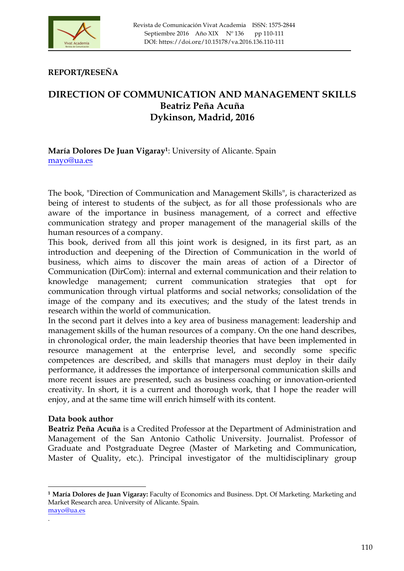

**REPORT/RESEÑA**

## **DIRECTION OF COMMUNICATION AND MANAGEMENT SKILLS Beatriz Peña Acuña Dykinson, Madrid, 2016**

## **María Dolores De Juan Vigaray1**: University of Alicante. Spain mayo@ua.es

The book, "Direction of Communication and Management Skills", is characterized as being of interest to students of the subject, as for all those professionals who are aware of the importance in business management, of a correct and effective communication strategy and proper management of the managerial skills of the human resources of a company.

This book, derived from all this joint work is designed, in its first part, as an introduction and deepening of the Direction of Communication in the world of business, which aims to discover the main areas of action of a Director of Communication (DirCom): internal and external communication and their relation to knowledge management; current communication strategies that opt for communication through virtual platforms and social networks; consolidation of the image of the company and its executives; and the study of the latest trends in research within the world of communication.

In the second part it delves into a key area of business management: leadership and management skills of the human resources of a company. On the one hand describes, in chronological order, the main leadership theories that have been implemented in resource management at the enterprise level, and secondly some specific competences are described, and skills that managers must deploy in their daily performance, it addresses the importance of interpersonal communication skills and more recent issues are presented, such as business coaching or innovation-oriented creativity. In short, it is a current and thorough work, that I hope the reader will enjoy, and at the same time will enrich himself with its content.

## **Data book author**

<u> 1989 - Johann Stein, fransk politik (d. 1989)</u>

**Beatriz Peña Acuña** is a Credited Professor at the Department of Administration and Management of the San Antonio Catholic University. Journalist. Professor of Graduate and Postgraduate Degree (Master of Marketing and Communication, Master of Quality, etc.). Principal investigator of the multidisciplinary group

**<sup>1</sup> María Dolores de Juan Vigaray:** Faculty of Economics and Business. Dpt. Of Marketing. Marketing and Market Research area. University of Alicante. Spain. mayo@ua.es

<sup>.</sup>